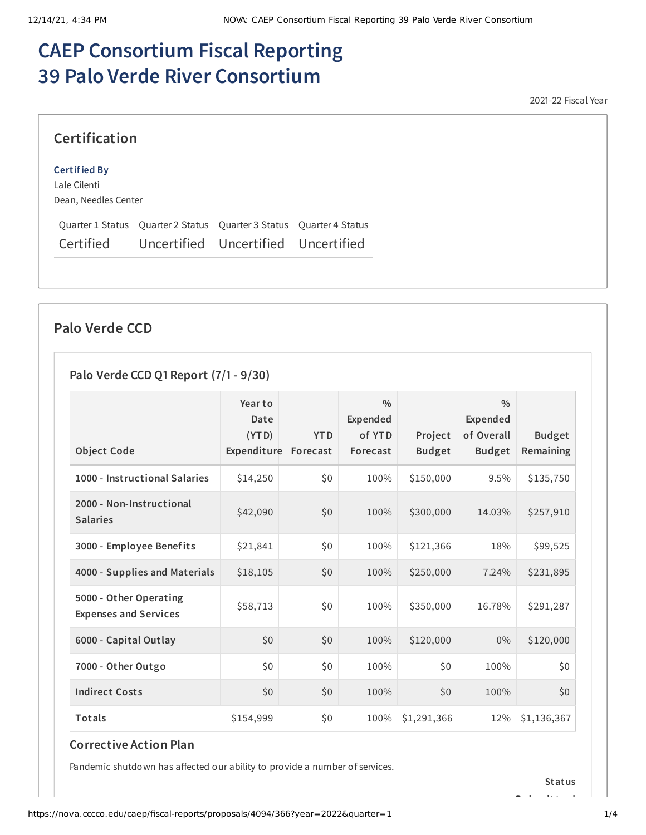# **CAEP Consortium Fiscal Reporting 39 Palo Verde River Consortium**

2021-22 Fiscal Year

#### **Certification**

#### **Certified By**

Lale Cilenti Dean, Needles Center

Quarter 1 Status Quarter 2 Status Quarter 3 Status Quarter 4 Status Certified Uncertified Uncertified Uncertified

#### **Palo Verde CCD**

#### **Palo Verde CCD Q1 Report (7/1- 9/30)**

| <b>Object Code</b>                                     | Year to<br>Date<br>(YTD)<br>Expenditure | <b>YTD</b><br>Forecast | $\frac{0}{0}$<br>Expended<br>of YTD<br>Forecast | Project<br><b>Budget</b> | $\frac{0}{0}$<br>Expended<br>of Overall<br><b>Budget</b> | <b>Budget</b><br>Remaining |
|--------------------------------------------------------|-----------------------------------------|------------------------|-------------------------------------------------|--------------------------|----------------------------------------------------------|----------------------------|
| 1000 - Instructional Salaries                          | \$14,250                                | \$0                    | 100%                                            | \$150,000                | 9.5%                                                     | \$135,750                  |
| 2000 - Non-Instructional<br><b>Salaries</b>            | \$42,090                                | \$0                    | 100%                                            | \$300,000                | 14.03%                                                   | \$257,910                  |
| 3000 - Employee Benefits                               | \$21,841                                | \$0                    | 100%                                            | \$121,366                | 18%                                                      | \$99,525                   |
| 4000 - Supplies and Materials                          | \$18,105                                | \$0                    | 100%                                            | \$250,000                | 7.24%                                                    | \$231,895                  |
| 5000 - Other Operating<br><b>Expenses and Services</b> | \$58,713                                | \$0                    | 100%                                            | \$350,000                | 16.78%                                                   | \$291,287                  |
| 6000 - Capital Outlay                                  | \$0                                     | \$0                    | 100%                                            | \$120,000                | $0\%$                                                    | \$120,000                  |
| 7000 - Other Outgo                                     | \$0                                     | \$0\$                  | 100%                                            | \$0\$                    | 100%                                                     | \$0                        |
| <b>Indirect Costs</b>                                  | \$0\$                                   | \$0                    | 100%                                            | \$0                      | 100%                                                     | \$0                        |
| <b>Totals</b>                                          | \$154,999                               | \$0\$                  | 100%                                            | \$1,291,366              | 12%                                                      | \$1,136,367                |

#### **Corrective Action Plan**

Pandemic shutdown has affected our ability to provide a number of services.

**Status**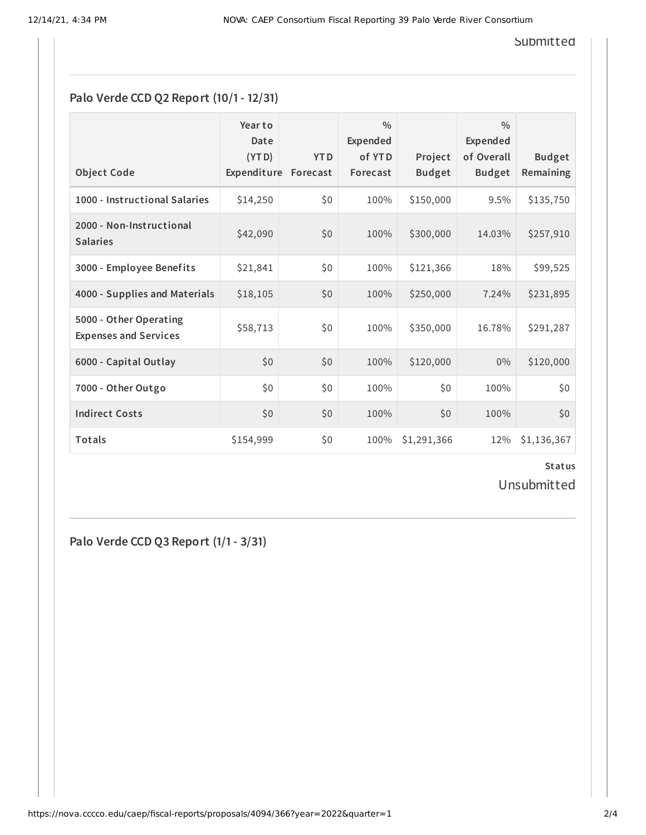**Submitted** 

### **Palo Verde CCD Q2 Report (10/1- 12/31)**

| <b>Object Code</b>                                     | Year to<br>Date<br>(YTD)<br>Expenditure | <b>YTD</b><br>Forecast | $\frac{0}{0}$<br>Expended<br>of YTD<br>Forecast | Project<br><b>Budget</b> | 0/0<br><b>Expended</b><br>of Overall<br><b>Budget</b> | <b>Budget</b><br>Remaining |
|--------------------------------------------------------|-----------------------------------------|------------------------|-------------------------------------------------|--------------------------|-------------------------------------------------------|----------------------------|
| 1000 - Instructional Salaries                          | \$14,250                                | \$0                    | 100%                                            | \$150,000                | 9.5%                                                  | \$135,750                  |
| 2000 - Non-Instructional<br><b>Salaries</b>            | \$42,090                                | \$0                    | 100%                                            | \$300,000                | 14.03%                                                | \$257,910                  |
| 3000 - Employee Benefits                               | \$21,841                                | \$0                    | 100%                                            | \$121,366                | 18%                                                   | \$99,525                   |
| 4000 - Supplies and Materials                          | \$18,105                                | \$0                    | 100%                                            | \$250,000                | 7.24%                                                 | \$231,895                  |
| 5000 - Other Operating<br><b>Expenses and Services</b> | \$58,713                                | \$0                    | 100%                                            | \$350,000                | 16.78%                                                | \$291,287                  |
| 6000 - Capital Outlay                                  | \$0                                     | \$0                    | 100%                                            | \$120,000                | 0%                                                    | \$120,000                  |
| 7000 - Other Outgo                                     | \$0                                     | \$0                    | 100%                                            | \$0                      | 100%                                                  | \$0                        |
| <b>Indirect Costs</b>                                  | \$0                                     | \$0                    | 100%                                            | \$0                      | 100%                                                  | \$0                        |
| <b>Totals</b>                                          | \$154,999                               | \$0                    | 100%                                            | \$1,291,366              | 12%                                                   | \$1,136,367                |

**Status**

Unsubmitted

**Palo Verde CCD Q3 Report (1/1- 3/31)**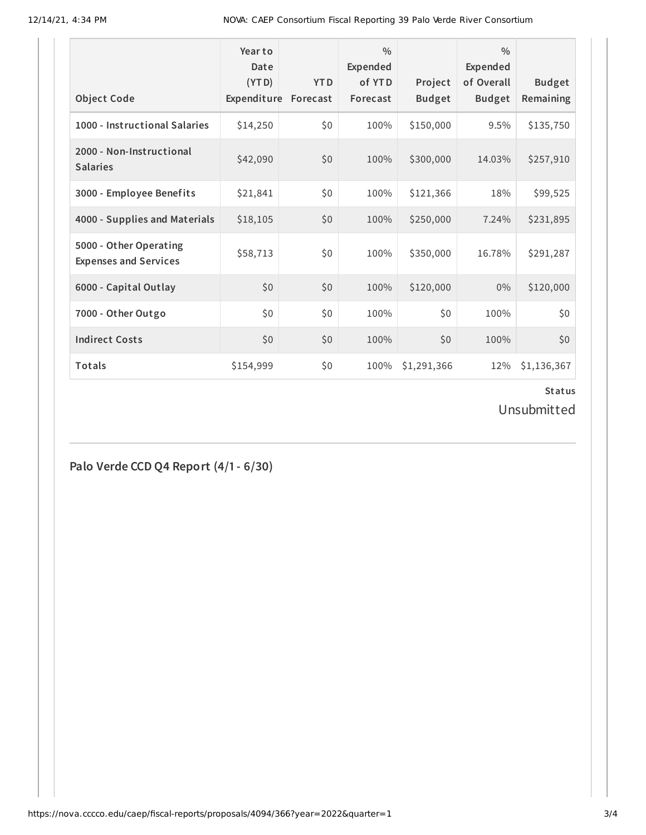12/14/21, 4:34 PM NOVA: CAEP Consortium Fiscal Reporting 39 Palo Verde River Consortium

| <b>Object Code</b>                                     | Year to<br>Date<br>(YTD)<br>Expenditure | <b>YTD</b><br>Forecast | $\frac{0}{0}$<br>Expended<br>of YTD<br>Forecast | Project<br><b>Budget</b> | $\frac{0}{0}$<br>Expended<br>of Overall<br><b>Budget</b> | <b>Budget</b><br>Remaining |
|--------------------------------------------------------|-----------------------------------------|------------------------|-------------------------------------------------|--------------------------|----------------------------------------------------------|----------------------------|
| 1000 - Instructional Salaries                          | \$14,250                                | \$0                    | 100%                                            | \$150,000                | 9.5%                                                     | \$135,750                  |
| 2000 - Non-Instructional<br><b>Salaries</b>            | \$42,090                                | \$0                    | 100%                                            | \$300,000                | 14.03%                                                   | \$257,910                  |
| 3000 - Employee Benefits                               | \$21,841                                | \$0                    | 100%                                            | \$121,366                | 18%                                                      | \$99,525                   |
| 4000 - Supplies and Materials                          | \$18,105                                | \$0                    | 100%                                            | \$250,000                | 7.24%                                                    | \$231,895                  |
| 5000 - Other Operating<br><b>Expenses and Services</b> | \$58,713                                | \$0                    | 100%                                            | \$350,000                | 16.78%                                                   | \$291,287                  |
| 6000 - Capital Outlay                                  | \$0                                     | \$0                    | 100%                                            | \$120,000                | $0\%$                                                    | \$120,000                  |
| 7000 - Other Outgo                                     | \$0                                     | \$0                    | 100%                                            | \$0                      | 100%                                                     | \$0                        |
| <b>Indirect Costs</b>                                  | \$0                                     | \$0                    | 100%                                            | \$0                      | 100%                                                     | \$0                        |
| Totals                                                 | \$154,999                               | \$0                    | 100%                                            | \$1,291,366              | 12%                                                      | \$1,136,367                |

## **Status**

Unsubmitted

**Palo Verde CCD Q4 Report (4/1- 6/30)**